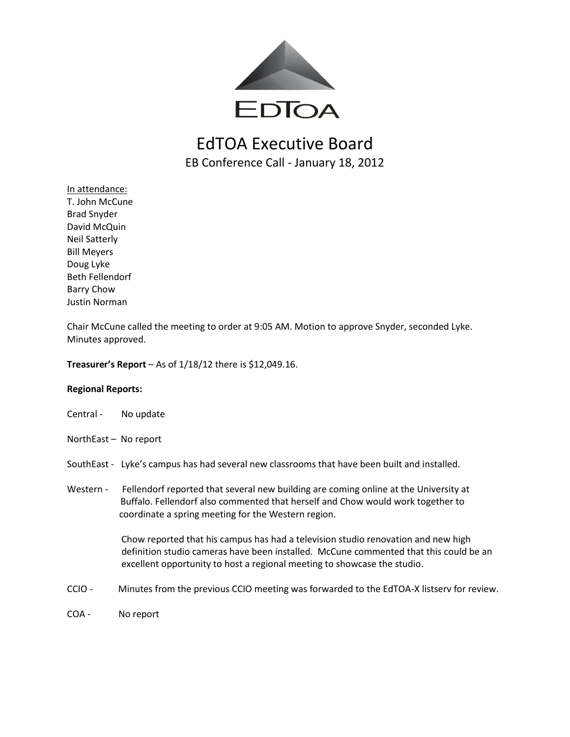

## EdTOA Executive Board EB Conference Call - January 18, 2012

In attendance: T. John McCune Brad Snyder David McQuin Neil Satterly Bill Meyers Doug Lyke Beth Fellendorf Barry Chow Justin Norman

Chair McCune called the meeting to order at 9:05 AM. Motion to approve Snyder, seconded Lyke. Minutes approved.

**Treasurer's Report** – As of 1/18/12 there is \$12,049.16.

#### **Regional Reports:**

- Central No update
- NorthEast No report
- SouthEast Lyke's campus has had several new classrooms that have been built and installed.
- Western Fellendorf reported that several new building are coming online at the University at Buffalo. Fellendorf also commented that herself and Chow would work together to coordinate a spring meeting for the Western region.

 Chow reported that his campus has had a television studio renovation and new high definition studio cameras have been installed. McCune commented that this could be an excellent opportunity to host a regional meeting to showcase the studio.

- CCIO Minutes from the previous CCIO meeting was forwarded to the EdTOA-X listserv for review.
- COA No report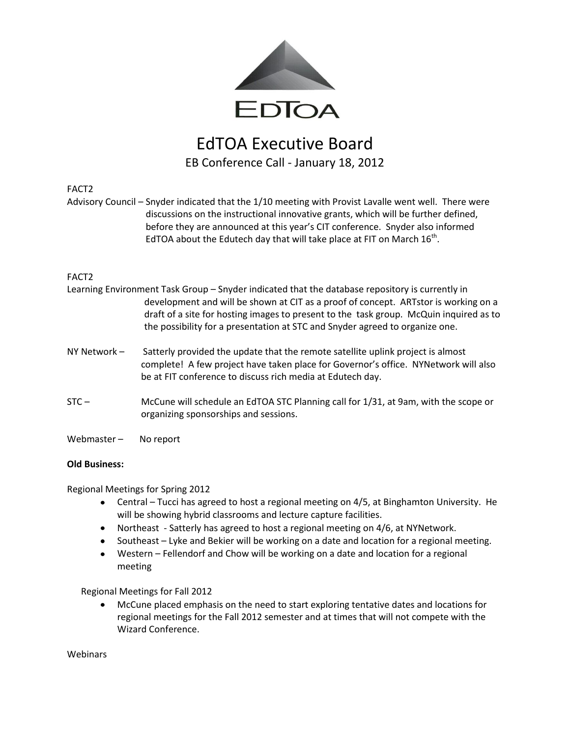

# EdTOA Executive Board EB Conference Call - January 18, 2012

#### FACT2

Advisory Council – Snyder indicated that the 1/10 meeting with Provist Lavalle went well. There were discussions on the instructional innovative grants, which will be further defined, before they are announced at this year's CIT conference. Snyder also informed EdTOA about the Edutech day that will take place at FIT on March  $16^{th}$ .

### FACT2

|              | Learning Environment Task Group - Snyder indicated that the database repository is currently in<br>development and will be shown at CIT as a proof of concept. ARTstor is working on a<br>draft of a site for hosting images to present to the task group. McQuin inquired as to<br>the possibility for a presentation at STC and Snyder agreed to organize one. |
|--------------|------------------------------------------------------------------------------------------------------------------------------------------------------------------------------------------------------------------------------------------------------------------------------------------------------------------------------------------------------------------|
| NY Network - | Satterly provided the update that the remote satellite uplink project is almost<br>complete! A few project have taken place for Governor's office. NYNetwork will also<br>be at FIT conference to discuss rich media at Edutech day.                                                                                                                             |
| $STC -$      | McCune will schedule an EdTOA STC Planning call for 1/31, at 9am, with the scope or                                                                                                                                                                                                                                                                              |

organizing sponsorships and sessions.

Webmaster - No report

### **Old Business:**

Regional Meetings for Spring 2012

- Central Tucci has agreed to host a regional meeting on 4/5, at Binghamton University. He will be showing hybrid classrooms and lecture capture facilities.
- Northeast Satterly has agreed to host a regional meeting on 4/6, at NYNetwork.
- Southeast Lyke and Bekier will be working on a date and location for a regional meeting.
- Western Fellendorf and Chow will be working on a date and location for a regional meeting

Regional Meetings for Fall 2012

McCune placed emphasis on the need to start exploring tentative dates and locations for  $\bullet$ regional meetings for the Fall 2012 semester and at times that will not compete with the Wizard Conference.

**Webinars**